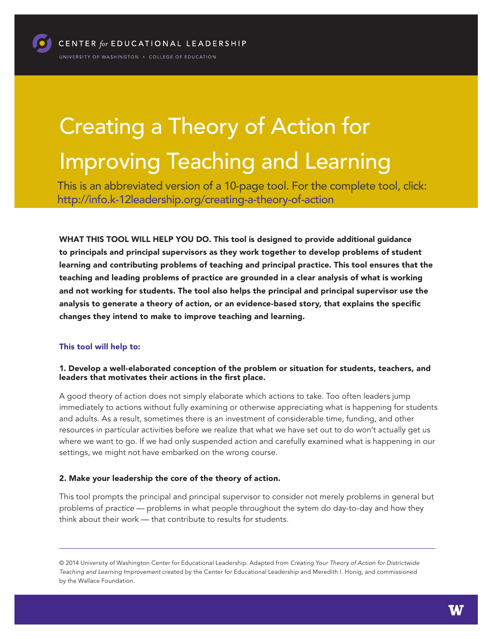# Creating a Theory of Action for Improving Teaching and Learning

This is an abbreviated version of a 10-page tool. For the complete tool, click: <http://info.k-12leadership.org/creating-a-theory-of-action>

WHAT THIS TOOL WILL HELP YOU DO. This tool is designed to provide additional guidance to principals and principal supervisors as they work together to develop problems of student learning and contributing problems of teaching and principal practice. This tool ensures that the teaching and leading problems of practice are grounded in a clear analysis of what is working and not working for students. The tool also helps the principal and principal supervisor use the analysis to generate a theory of action, or an evidence-based story, that explains the specific changes they intend to make to improve teaching and learning.

#### This tool will help to:

#### 1. Develop a well-elaborated conception of the problem or situation for students, teachers, and leaders that motivates their actions in the first place.

A good theory of action does not simply elaborate which actions to take. Too often leaders jump immediately to actions without fully examining or otherwise appreciating what is happening for students and adults. As a result, sometimes there is an investment of considerable time, funding, and other resources in particular activities before we realize that what we have set out to do won't actually get us where we want to go. If we had only suspended action and carefully examined what is happening in our settings, we might not have embarked on the wrong course.

#### 2. Make your leadership the core of the theory of action.

This tool prompts the principal and principal supervisor to consider not merely problems in general but problems of *practice* — problems in what people throughout the sytem do day-to-day and how they think about their work — that contribute to results for students.

© 2014 University of Washington Center for Educational Leadership. Adapted from *Creating Your Theory of Action for Districtwide Teaching and Learning Improvement* created by the Center for Educational Leadership and Meredith I. Honig, and commissioned by the Wallace Foundation.